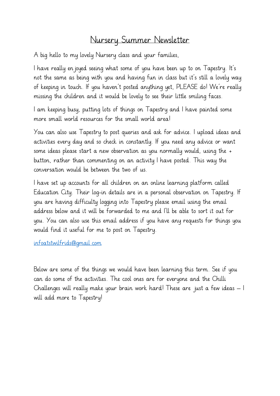# Nursery Summer Newsletter

A big hello to my lovely Nursery class and your families,

I have really en joyed seeing what some of you have been up to on Tapestry. It's not the same as being with you and having fun in class but it's still a lovely way of keeping in touch. If you haven't posted anything yet, PLEASE do! We're really missing the children and it would be lovely to see their little smiling faces.

I am keeping busy, putting lots of things on Tapestry and I have painted some more small world resources for the small world area!

You can also use Tapestry to post queries and ask for advice. I upload ideas and activities every day and so check in constantly. If you need any advice or want some ideas please start a new observation as you normally would, using the + button, rather than commenting on an activity I have posted. This way the conversation would be between the two of us.

I have set up accounts for all children on an online learning platform called Education City. Their log-in details are in a personal observation on Tapestry. If you are having difficulty logging into Tapestry please email using the email address below and it will be forwarded to me and I'll be able to sort it out for you. You can also use this email address if you have any requests for things you would find it useful for me to post on Tapestry.

[infoatstwilfrids@gmail.com](mailto:infoatstwilfrids@gmail.com)

Below are some of the things we would have been learning this term. See if you can do some of the activities. The cool ones are for everyone and the Chilli Challenges will really make your brain work hard! These are just a few ideas – I will add more to Tapestry!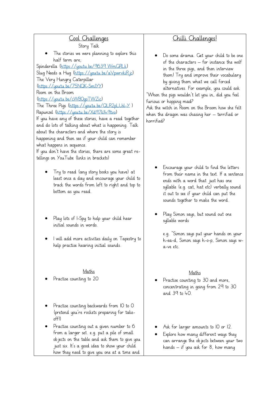## Cool Challenges

Story Talk

The stories we were planning to explore this half term are;

Spinderella [\(https://youtu.be/9639\\_WmGRLk\)](https://youtu.be/9639_WmGRLk) Slug Needs a Hug [\(https://youtu.be/aVpwrvkiRjc\)](https://youtu.be/aVpwrvkiRjc) The Very Hungry Caterpillar [\(https://youtu.be/75NQK-Sm1YY\)](https://youtu.be/75NQK-Sm1YY) Room on the Broom [\(https://youtu.be/cWB0goTWZic\)](https://youtu.be/cWB0goTWZic) The Three Pigs [\(https://youtu.be/QLR2pLUsl-Y](https://youtu.be/QLR2pLUsl-Y) )

Rapunzel [\(https://youtu.be/Xd97k149tvo\)](https://youtu.be/Xd97k149tvo)

If you have any of these stories, have a read together and do lots of talking about what is happening. Talk about the characters and where the story is happening and then see if your child can remember what happens in sequence.

If you don't have the stories, there are some great retellings on YouTube (links in brackets)

- Try to read (any story books you have) at least once a day and encourage your child to track the words from left to right and top to bottom as you read.
- Play lots of I-Spy to help your child hear initial sounds in words.
- I will add more activities daily on Tapestry to help practise hearing initial sounds.

#### Maths

Practise counting to 20

- Practise counting backwards from IO to O (pretend you're rockets preparing for takeoff!)
- Practise counting out a given number to 6 from a larger set. e.g. put a pile of small objects on the table and ask them to give you just six. It's a good idea to show your child how they need to give you one at a time and

# Chilli Challenges!

• Do some drama. Get your child to be one of the characters – for instance the wolf in the three pigs, and then interview them! Try and improve their vocabulary by giving them what we call forced

alternatives. For example, you could ask "When the pigs wouldn't let you in, did you feel furious or hopping mad?

Ask the witch in Room on the Broom how she felt when the dragon was chasing her – terrified or horrified?

- Encourage your child to find the letters from their name in the text. If a sentence ends with a word that just has one syllable (e.g. cat, hat etc) verbally sound it out to see if your child can put the sounds together to make the word.
- Play Simon says, but sound out one syllable words

e.g. "Simon says put your hands on your h-ea-d, Simon says h-o-p, Simon says wa-ve etc.

### Maths

- Practise counting to 30 and more, concentrating in going from 29 to 30 and 39 to 40.
- Ask for larger amounts to 10 or 12.
- Explore how many different ways they can arrange the objects between your two hands – if you ask for 8, how many